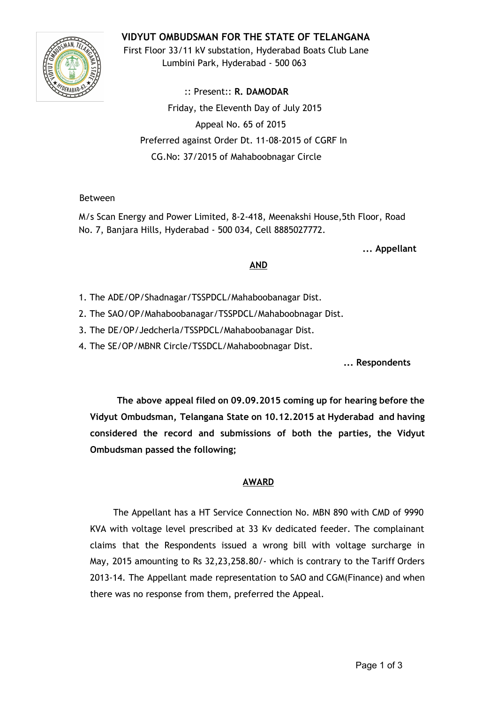# **VIDYUT OMBUDSMAN FOR THE STATE OF TELANGANA**



First Floor 33/11 kV substation, Hyderabad Boats Club Lane Lumbini Park, Hyderabad - 500 063

:: Present:: **R. DAMODAR** Friday, the Eleventh Day of July 2015 Appeal No. 65 of 2015 Preferred against Order Dt. 11-08-2015 of CGRF In CG.No: 37/2015 of Mahaboobnagar Circle

## Between

M/s Scan Energy and Power Limited, 8-2-418, Meenakshi House,5th Floor, Road No. 7, Banjara Hills, Hyderabad - 500 034, Cell 8885027772.

**... Appellant**

### **AND**

- 1. The ADE/OP/Shadnagar/TSSPDCL/Mahaboobanagar Dist.
- 2. The SAO/OP/Mahaboobanagar/TSSPDCL/Mahaboobnagar Dist.
- 3. The DE/OP/Jedcherla/TSSPDCL/Mahaboobanagar Dist.
- 4. The SE/OP/MBNR Circle/TSSDCL/Mahaboobnagar Dist.

**... Respondents**

**The above appeal filed on 09.09.2015 coming up for hearing before the Vidyut Ombudsman, Telangana State on 10.12.2015 at Hyderabad and having considered the record and submissions of both the parties, the Vidyut Ombudsman passed the following;**

### **AWARD**

The Appellant has a HT Service Connection No. MBN 890 with CMD of 9990 KVA with voltage level prescribed at 33 Kv dedicated feeder. The complainant claims that the Respondents issued a wrong bill with voltage surcharge in May, 2015 amounting to Rs 32,23,258.80/- which is contrary to the Tariff Orders 2013-14. The Appellant made representation to SAO and CGM(Finance) and when there was no response from them, preferred the Appeal.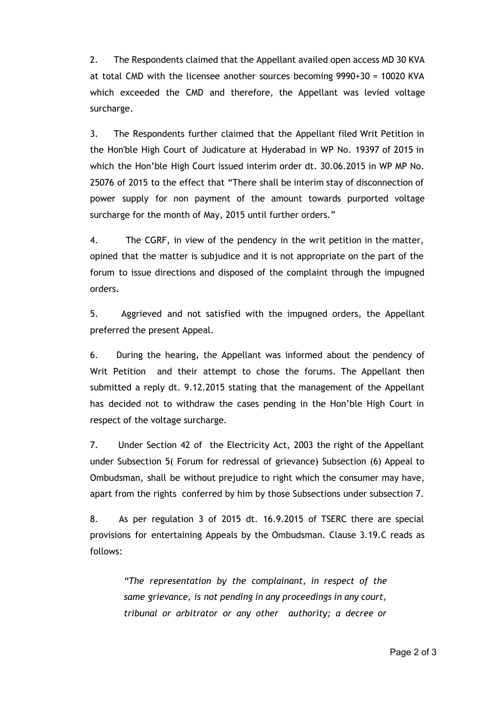2. The Respondents claimed that the Appellant availed open access MD 30 KVA at total CMD with the licensee another sources becoming 9990+30 = 10020 KVA which exceeded the CMD and therefore, the Appellant was levied voltage surcharge.

3. The Respondents further claimed that the Appellant filed Writ Petition in the Hon'ble High Court of Judicature at Hyderabad in WP No. 19397 of 2015 in which the Hon'ble High Court issued interim order dt. 30.06.2015 in WP MP No. 25076 of 2015 to the effect that "There shall be interim stay of disconnection of power supply for non payment of the amount towards purported voltage surcharge for the month of May, 2015 until further orders."

4. The CGRF, in view of the pendency in the writ petition in the matter, opined that the matter is subjudice and it is not appropriate on the part of the forum to issue directions and disposed of the complaint through the impugned orders.

5. Aggrieved and not satisfied with the impugned orders, the Appellant preferred the present Appeal.

6. During the hearing, the Appellant was informed about the pendency of Writ Petition and their attempt to chose the forums. The Appellant then submitted a reply dt. 9.12.2015 stating that the management of the Appellant has decided not to withdraw the cases pending in the Hon'ble High Court in respect of the voltage surcharge.

7. Under Section 42 of the Electricity Act, 2003 the right of the Appellant under Subsection 5( Forum for redressal of grievance) Subsection (6) Appeal to Ombudsman, shall be without prejudice to right which the consumer may have, apart from the rights conferred by him by those Subsections under subsection 7.

8. As per regulation 3 of 2015 dt. 16.9.2015 of TSERC there are special provisions for entertaining Appeals by the Ombudsman. Clause 3.19.C reads as follows:

*"The representation by the complainant, in respect of the same grievance, is not pending in any proceedings in any court, tribunal or arbitrator or any other authority; a decree or*